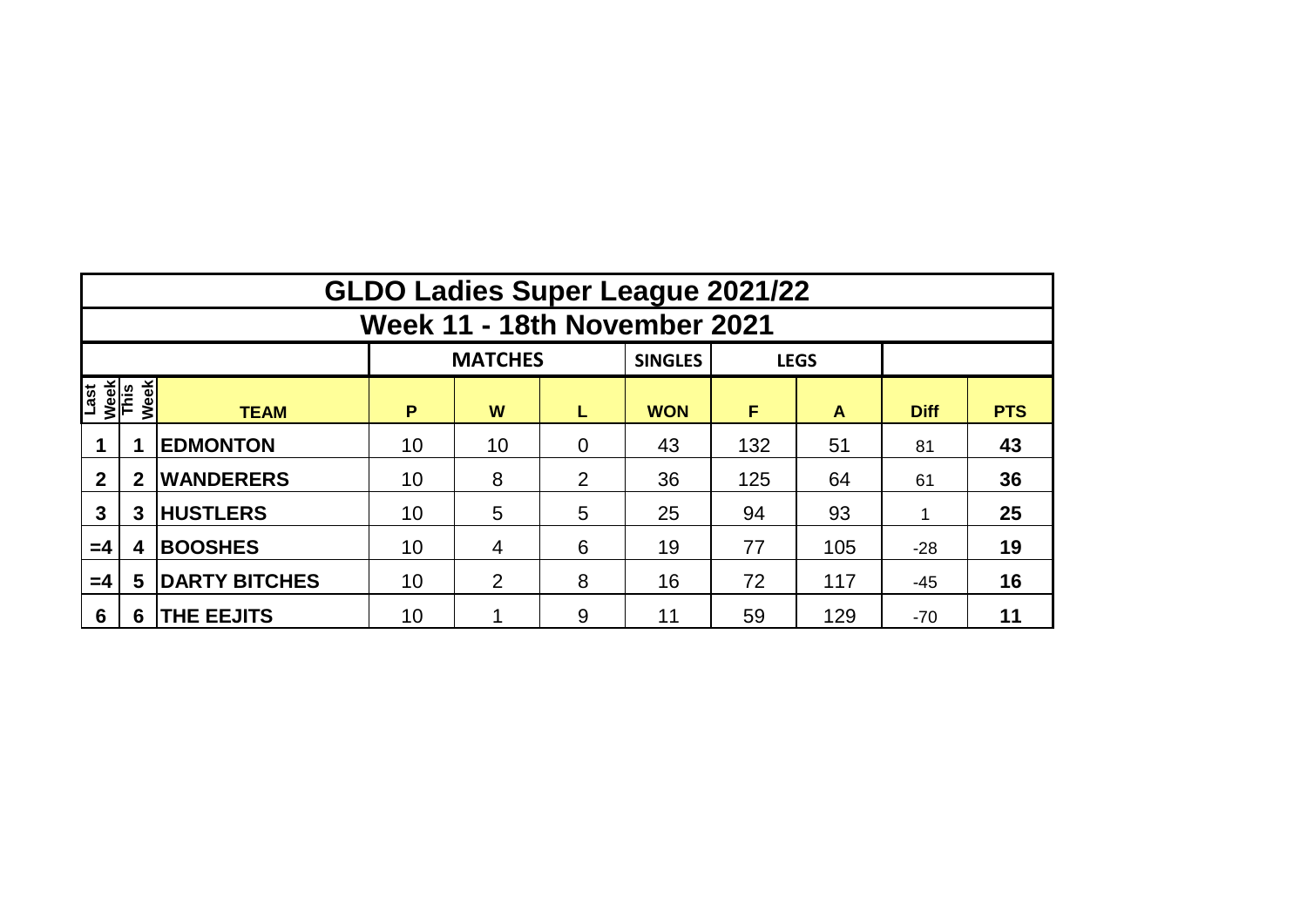|                             | <b>GLDO Ladies Super League 2021/22</b>         |                      |    |                |                |            |     |     |             |            |  |  |  |  |  |
|-----------------------------|-------------------------------------------------|----------------------|----|----------------|----------------|------------|-----|-----|-------------|------------|--|--|--|--|--|
|                             | Week 11 - 18th November 2021                    |                      |    |                |                |            |     |     |             |            |  |  |  |  |  |
|                             | <b>MATCHES</b><br><b>SINGLES</b><br><b>LEGS</b> |                      |    |                |                |            |     |     |             |            |  |  |  |  |  |
| Last<br><u>Week</u><br>This | Week                                            | <b>TEAM</b>          | P  | W              | L              | <b>WON</b> | F   | A   | <b>Diff</b> | <b>PTS</b> |  |  |  |  |  |
|                             |                                                 | <b>EDMONTON</b>      | 10 | 10             | $\overline{0}$ | 43         | 132 | 51  | 81          | 43         |  |  |  |  |  |
| $\overline{2}$              | $\mathbf{2}$                                    | <b>WANDERERS</b>     | 10 | 8              |                | 36         | 125 | 64  | 61          | 36         |  |  |  |  |  |
| 3                           | 3                                               | <b>HUSTLERS</b>      | 10 | $5\phantom{1}$ | 5              | 25         | 94  | 93  |             | 25         |  |  |  |  |  |
| $=4$                        | <b>BOOSHES</b><br>4                             |                      | 10 | 4              | 6              | 19         | 77  | 105 | $-28$       | 19         |  |  |  |  |  |
| $=4$                        | 5                                               | <b>DARTY BITCHES</b> | 10 | $\overline{2}$ | 8              | 16         | 72  | 117 | $-45$       | 16         |  |  |  |  |  |
| $6\phantom{1}6$             | 6                                               | <b>THE EEJITS</b>    | 10 |                | 9              | 11         | 59  | 129 | $-70$       | 11         |  |  |  |  |  |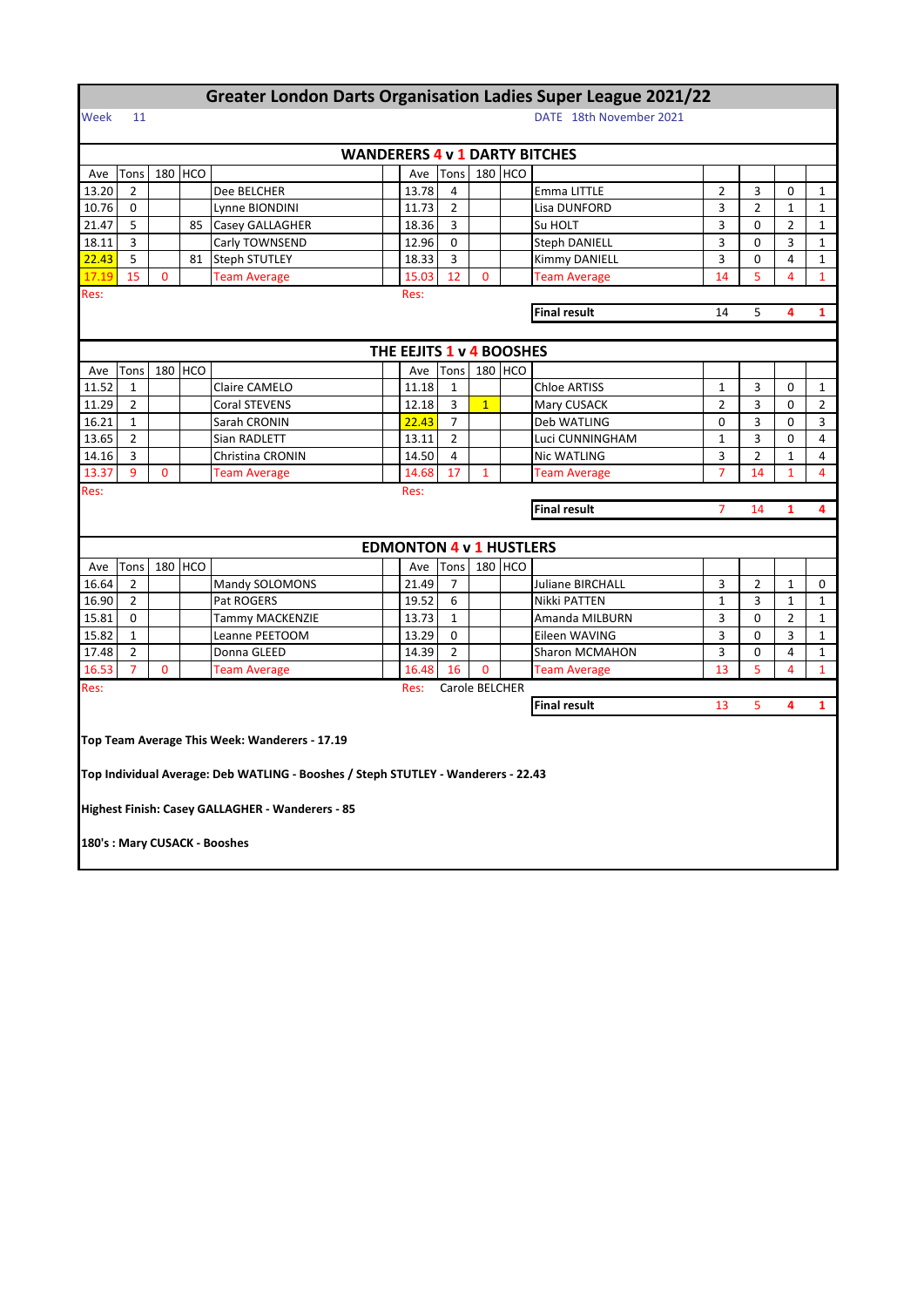## **Greater London Darts Organisation Ladies Super League 2021/22**

## Week 11 DATE 18th November 2021

|                                                     | <b>WANDERERS 4 v 1 DARTY BITCHES</b>             |             |         |                                                                                   |  |                                |                |                |         |                       |                |                |                |                |
|-----------------------------------------------------|--------------------------------------------------|-------------|---------|-----------------------------------------------------------------------------------|--|--------------------------------|----------------|----------------|---------|-----------------------|----------------|----------------|----------------|----------------|
| Ave                                                 | Tons                                             |             | 180 HCO |                                                                                   |  | Ave                            | Tons           |                | 180 HCO |                       |                |                |                |                |
| 13.20                                               | $\overline{2}$                                   |             |         | Dee BELCHER                                                                       |  | 13.78                          | 4              |                |         | Emma LITTLE           | $\overline{2}$ | 3              | 0              | $\mathbf{1}$   |
| 10.76                                               | $\Omega$                                         |             |         | Lynne BIONDINI                                                                    |  | 11.73                          | $\overline{2}$ |                |         | Lisa DUNFORD          | 3              | $\overline{2}$ | $\mathbf{1}$   | $\mathbf{1}$   |
| 21.47                                               | 5                                                |             | 85      | Casey GALLAGHER                                                                   |  | 18.36                          | 3              |                |         | Su HOLT               | 3              | 0              | $\overline{2}$ | $\mathbf{1}$   |
| 18.11                                               | 3                                                |             |         | Carly TOWNSEND                                                                    |  | 12.96                          | $\Omega$       |                |         | <b>Steph DANIELL</b>  | 3              | 0              | 3              | $\mathbf{1}$   |
| 22.43                                               | 5                                                |             | 81      | <b>Steph STUTLEY</b>                                                              |  | 18.33                          | 3              |                |         | <b>Kimmy DANIELL</b>  | 3              | 0              | 4              | $\mathbf{1}$   |
| 17.19                                               | 15                                               | $\Omega$    |         | <b>Team Average</b>                                                               |  | 15.03                          | 12             | $\overline{0}$ |         | <b>Team Average</b>   | 14             | 5              | 4              | $\mathbf{1}$   |
| Res:<br>Res:                                        |                                                  |             |         |                                                                                   |  |                                |                |                |         |                       |                |                |                |                |
| <b>Final result</b><br>14<br>5<br>4                 |                                                  |             |         |                                                                                   |  |                                |                |                |         |                       |                | 1              |                |                |
|                                                     |                                                  |             |         |                                                                                   |  |                                |                |                |         |                       |                |                |                |                |
|                                                     |                                                  |             |         |                                                                                   |  | THE EEJITS 1 v 4 BOOSHES       |                |                |         |                       |                |                |                |                |
| Ave                                                 | Tons                                             |             | 180 HCO |                                                                                   |  | Ave                            | <b>Tons</b>    |                | 180 HCO |                       |                |                |                |                |
| 11.52                                               | 1                                                |             |         | Claire CAMELO                                                                     |  | 11.18                          | $\mathbf{1}$   |                |         | <b>Chloe ARTISS</b>   | 1              | 3              | 0              | $\mathbf{1}$   |
| 11.29                                               | 2                                                |             |         | <b>Coral STEVENS</b>                                                              |  | 12.18                          | 3              | 1              |         | Mary CUSACK           | $\overline{2}$ | 3              | 0              | $\overline{2}$ |
| 16.21                                               | $\mathbf{1}$                                     |             |         | Sarah CRONIN                                                                      |  | 22.43                          | $\overline{7}$ |                |         | Deb WATLING           | 0              | 3              | 0              | 3              |
| 13.65                                               | 2                                                |             |         | Sian RADLETT                                                                      |  | 13.11                          | $\overline{2}$ |                |         | Luci CUNNINGHAM       | 1              | 3              | 0              | 4              |
| 14.16                                               | 3                                                |             |         | Christina CRONIN                                                                  |  | 14.50                          | 4              |                |         | Nic WATLING           | 3              | $\overline{2}$ | $\mathbf{1}$   | 4              |
| 13.37                                               | 9                                                | $\mathbf 0$ |         | <b>Team Average</b>                                                               |  | 14.68                          | 17             | $\mathbf{1}$   |         | <b>Team Average</b>   | $\overline{7}$ | 14             | 1              | 4              |
| Res:                                                |                                                  |             |         |                                                                                   |  | Res:                           |                |                |         |                       |                |                |                |                |
| <b>Final result</b><br>14<br>$\mathbf{1}$<br>4<br>7 |                                                  |             |         |                                                                                   |  |                                |                |                |         |                       |                |                |                |                |
|                                                     |                                                  |             |         |                                                                                   |  |                                |                |                |         |                       |                |                |                |                |
|                                                     |                                                  |             |         |                                                                                   |  | <b>EDMONTON 4 v 1 HUSTLERS</b> |                |                |         |                       |                |                |                |                |
| Ave                                                 | Tons                                             |             | 180 HCO |                                                                                   |  | Ave                            | Tons           |                | 180 HCO |                       |                |                |                |                |
| 16.64                                               | 2                                                |             |         | Mandy SOLOMONS                                                                    |  | 21.49                          | $\overline{7}$ |                |         | Juliane BIRCHALL      | 3              | $\overline{2}$ | 1              | 0              |
| 16.90                                               | $\overline{2}$                                   |             |         | Pat ROGERS                                                                        |  | 19.52                          | 6              |                |         | Nikki PATTEN          | $\mathbf{1}$   | 3              | $\mathbf{1}$   | $\mathbf{1}$   |
| 15.81                                               | $\Omega$                                         |             |         | Tammy MACKENZIE                                                                   |  | 13.73                          | $\mathbf{1}$   |                |         | Amanda MILBURN        | 3              | 0              | $\overline{2}$ | $\mathbf{1}$   |
| 15.82                                               | $\mathbf{1}$                                     |             |         | Leanne PEETOOM                                                                    |  | 13.29                          | 0              |                |         | Eileen WAVING         | 3              | 0              | 3              | $\mathbf{1}$   |
| 17.48                                               | $\overline{2}$                                   |             |         | Donna GLEED                                                                       |  | 14.39                          | $\overline{2}$ |                |         | <b>Sharon MCMAHON</b> | 3              | 0              | $\overline{4}$ | $\mathbf{1}$   |
| 16.53                                               | $\overline{7}$                                   | $\Omega$    |         | <b>Team Average</b>                                                               |  | 16.48                          | 16             | 0              |         | <b>Team Average</b>   | 13             | 5              | 4              | $\mathbf{1}$   |
| Res:                                                |                                                  |             |         |                                                                                   |  | Res:                           | Carole BELCHER |                |         |                       |                |                |                |                |
|                                                     |                                                  |             |         |                                                                                   |  |                                |                |                |         | <b>Final result</b>   | 13             | 5              | 4              | $\mathbf{1}$   |
|                                                     |                                                  |             |         |                                                                                   |  |                                |                |                |         |                       |                |                |                |                |
|                                                     |                                                  |             |         | Top Team Average This Week: Wanderers - 17.19                                     |  |                                |                |                |         |                       |                |                |                |                |
|                                                     |                                                  |             |         | Top Individual Average: Deb WATLING - Booshes / Steph STUTLEY - Wanderers - 22.43 |  |                                |                |                |         |                       |                |                |                |                |
|                                                     |                                                  |             |         |                                                                                   |  |                                |                |                |         |                       |                |                |                |                |
|                                                     |                                                  |             |         |                                                                                   |  |                                |                |                |         |                       |                |                |                |                |
|                                                     | Highest Finish: Casey GALLAGHER - Wanderers - 85 |             |         |                                                                                   |  |                                |                |                |         |                       |                |                |                |                |
| 180's: Mary CUSACK - Booshes                        |                                                  |             |         |                                                                                   |  |                                |                |                |         |                       |                |                |                |                |
|                                                     |                                                  |             |         |                                                                                   |  |                                |                |                |         |                       |                |                |                |                |
|                                                     |                                                  |             |         |                                                                                   |  |                                |                |                |         |                       |                |                |                |                |